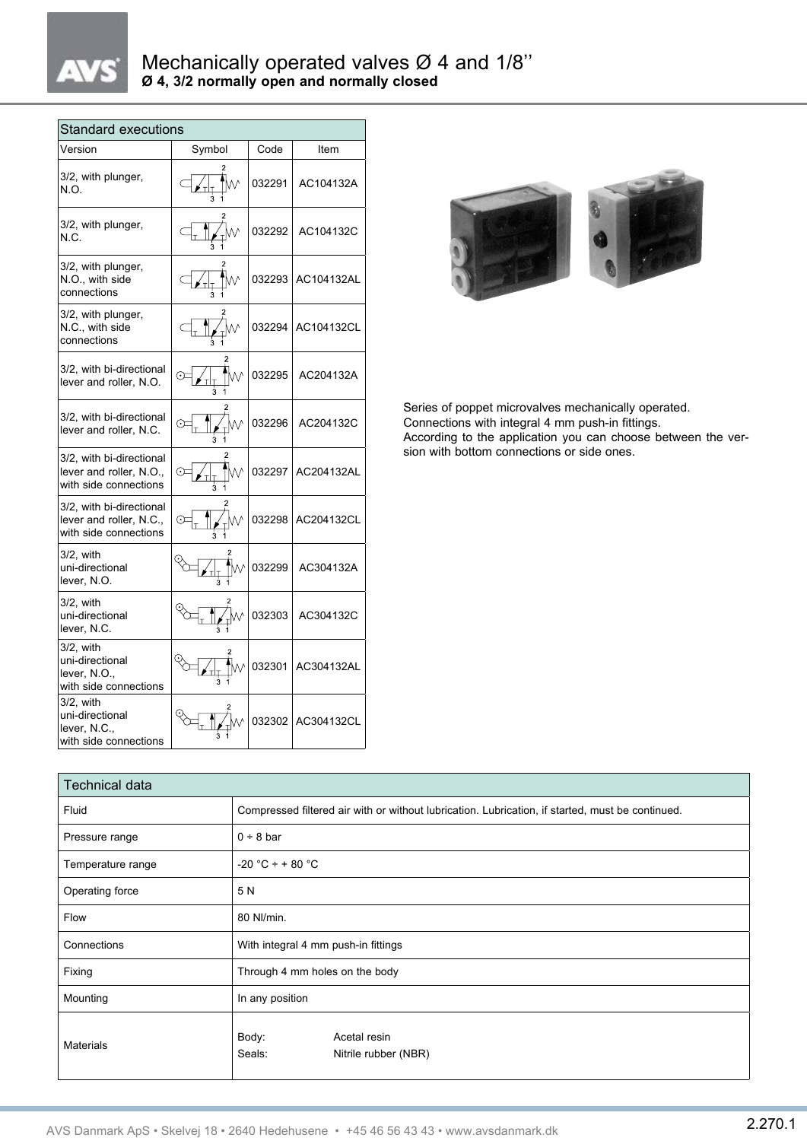## Mechanically operated valves Ø 4 and 1/8'' **Ø 4, 3/2 normally open and normally closed**

| <b>Standard executions</b>                                                   |        |        |                                                          |  |
|------------------------------------------------------------------------------|--------|--------|----------------------------------------------------------|--|
| Version                                                                      | Symbol | Code   | Item                                                     |  |
| 3/2, with plunger,<br>N.O.                                                   |        | 032291 | AC104132A                                                |  |
| 3/2, with plunger,<br>N.C.                                                   |        | 032292 | AC104132C                                                |  |
| 3/2, with plunger,<br>N.O., with side<br>connections                         |        |        | 032293 AC104132AL                                        |  |
| 3/2, with plunger,<br>N.C., with side<br>connections                         |        |        | 032294 AC104132CL                                        |  |
| 3/2, with bi-directional<br>lever and roller, N.O.                           | ₩      | 032295 | AC204132A                                                |  |
| 3/2, with bi-directional<br>lever and roller, N.C.                           |        |        | 032296 AC204132C                                         |  |
| 3/2, with bi-directional<br>lever and roller, N.O.,<br>with side connections |        |        | 032297 AC204132AL                                        |  |
| 3/2, with bi-directional<br>lever and roller, N.C.,<br>with side connections |        | 032298 | AC204132CL                                               |  |
| 3/2, with<br>uni-directional<br>lever, N.O.                                  |        |        | $\sqrt[4]{\mathbb{W}}$ 032299 $\,$ AC304132A             |  |
| 3/2, with<br>uni-directional<br>lever, N.C.                                  |        |        | 032303 AC304132C                                         |  |
| 3/2, with<br>uni-directional<br>lever, N.O.,<br>with side connections        |        |        | $\text{Im} \left[ \text{Im} \right]$ 032301   AC304132AL |  |
| 3/2. with<br>uni-directional<br>lever, N.C.,<br>with side connections        |        |        | 032302 AC304132CL                                        |  |



Series of poppet microvalves mechanically operated. Connections with integral 4 mm push-in fittings. According to the application you can choose between the version with bottom connections or side ones.

| <b>Technical data</b> |                                                                                                  |  |  |
|-----------------------|--------------------------------------------------------------------------------------------------|--|--|
| Fluid                 | Compressed filtered air with or without lubrication. Lubrication, if started, must be continued. |  |  |
| Pressure range        | $0 \div 8$ bar                                                                                   |  |  |
| Temperature range     | $-20$ °C ÷ + 80 °C                                                                               |  |  |
| Operating force       | 5 N                                                                                              |  |  |
| Flow                  | 80 NI/min.                                                                                       |  |  |
| Connections           | With integral 4 mm push-in fittings                                                              |  |  |
| Fixing                | Through 4 mm holes on the body                                                                   |  |  |
| Mounting              | In any position                                                                                  |  |  |
| <b>Materials</b>      | Body:<br>Acetal resin<br>Seals:<br>Nitrile rubber (NBR)                                          |  |  |